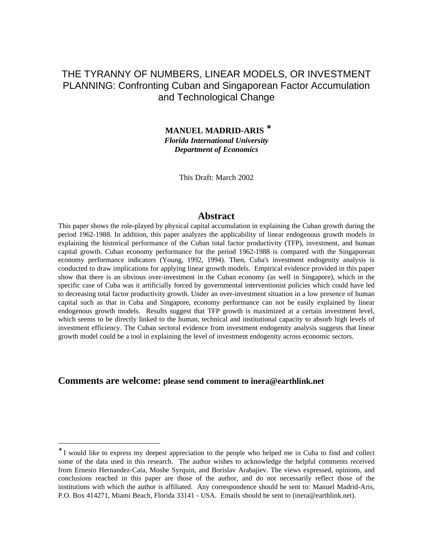# THE TYRANNY OF NUMBERS, LINEAR MODELS, OR INVESTMENT PLANNING: Confronting Cuban and Singaporean Factor Accumulation and Technological Change

 **MANUEL MADRID-ARIS** <sup>∗</sup> *Florida International University Department of Economics*

This Draft: March 2002

#### **Abstract**

This paper shows the role-played by physical capital accumulation in explaining the Cuban growth during the period 1962-1988. In addition, this paper analyzes the applicability of linear endogenous growth models in explaining the historical performance of the Cuban total factor productivity (TFP), investment, and human capital growth. Cuban economy performance for the period 1962-1988 is compared with the Singaporean economy performance indicators (Young, 1992, 1994). Then, Cuba's investment endogenity analysis is conducted to draw implications for applying linear growth models. Empirical evidence provided in this paper show that there is an obvious over-investment in the Cuban economy (as well in Singapore), which in the specific case of Cuba was it artificially forced by governmental interventionist policies which could have led to decreasing total factor productivity growth. Under an over-investment situation in a low presence of human capital such as that in Cuba and Singapore, economy performance can not be easily explained by linear endogenous growth models. Results suggest that TFP growth is maximized at a certain investment level, which seems to be directly linked to the human, technical and institutional capacity to absorb high levels of investment efficiency. The Cuban sectoral evidence from investment endogenity analysis suggests that linear growth model could be a tool in explaining the level of investment endogenity across economic sectors.

# **Comments are welcome: please send comment to inera@earthlink.net**

<sup>∗</sup> I would like to express my deepest appreciation to the people who helped me in Cuba to find and collect some of the data used in this research. The author wishes to acknowledge the helpful comments received from Ernesto Hernandez-Cata, Moshe Syrquin, and Borislav Arabajiev. The views expressed, opinions, and conclusions reached in this paper are those of the author, and do not necessarily reflect those of the institutions with which the author is affiliated. Any correspondence should be sent to: Manuel Madrid-Aris, P.O. Box 414271, Miami Beach, Florida 33141 - USA. Emails should be sent to (inera@earthlink.net).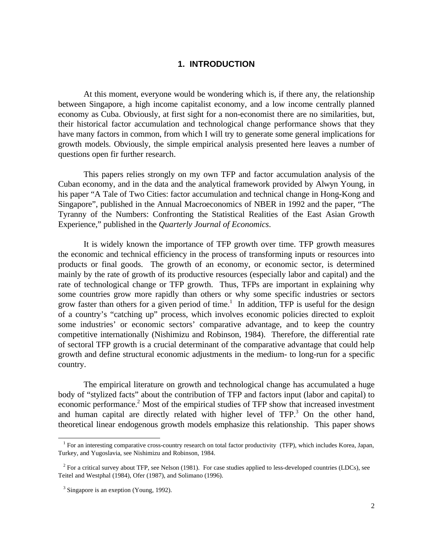### **1. INTRODUCTION**

At this moment, everyone would be wondering which is, if there any, the relationship between Singapore, a high income capitalist economy, and a low income centrally planned economy as Cuba. Obviously, at first sight for a non-economist there are no similarities, but, their historical factor accumulation and technological change performance shows that they have many factors in common, from which I will try to generate some general implications for growth models. Obviously, the simple empirical analysis presented here leaves a number of questions open fir further research.

This papers relies strongly on my own TFP and factor accumulation analysis of the Cuban economy, and in the data and the analytical framework provided by Alwyn Young, in his paper "A Tale of Two Cities: factor accumulation and technical change in Hong-Kong and Singapore", published in the Annual Macroeconomics of NBER in 1992 and the paper, "The Tyranny of the Numbers: Confronting the Statistical Realities of the East Asian Growth Experience," published in the *Quarterly Journal of Economics*.

It is widely known the importance of TFP growth over time. TFP growth measures the economic and technical efficiency in the process of transforming inputs or resources into products or final goods. The growth of an economy, or economic sector, is determined mainly by the rate of growth of its productive resources (especially labor and capital) and the rate of technological change or TFP growth. Thus, TFPs are important in explaining why some countries grow more rapidly than others or why some specific industries or sectors grow faster than others for a given period of time.<sup>1</sup> In addition, TFP is useful for the design of a country's "catching up" process, which involves economic policies directed to exploit some industries' or economic sectors' comparative advantage, and to keep the country competitive internationally (Nishimizu and Robinson, 1984). Therefore, the differential rate of sectoral TFP growth is a crucial determinant of the comparative advantage that could help growth and define structural economic adjustments in the medium- to long-run for a specific country.

The empirical literature on growth and technological change has accumulated a huge body of "stylized facts" about the contribution of TFP and factors input (labor and capital) to economic performance.<sup>2</sup> Most of the empirical studies of TFP show that increased investment and human capital are directly related with higher level of  $TFP$ <sup>3</sup>. On the other hand, theoretical linear endogenous growth models emphasize this relationship. This paper shows

<sup>&</sup>lt;sup>1</sup> For an interesting comparative cross-country research on total factor productivity (TFP), which includes Korea, Japan, Turkey, and Yugoslavia, see Nishimizu and Robinson, 1984.

 $2^2$  For a critical survey about TFP, see Nelson (1981). For case studies applied to less-developed countries (LDCs), see Teitel and Westphal (1984), Ofer (1987), and Solimano (1996).

<sup>&</sup>lt;sup>3</sup> Singapore is an exeption (Young, 1992).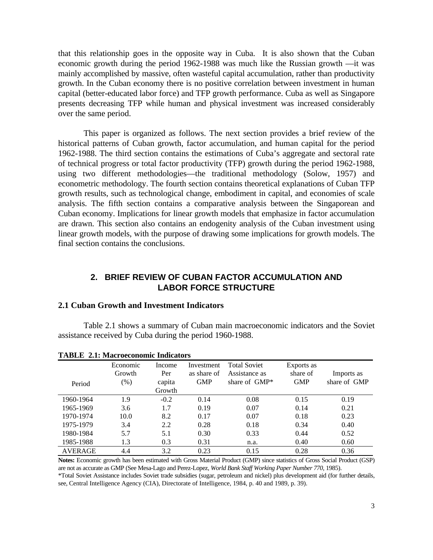that this relationship goes in the opposite way in Cuba. It is also shown that the Cuban economic growth during the period 1962-1988 was much like the Russian growth —it was mainly accomplished by massive, often wasteful capital accumulation, rather than productivity growth. In the Cuban economy there is no positive correlation between investment in human capital (better-educated labor force) and TFP growth performance. Cuba as well as Singapore presents decreasing TFP while human and physical investment was increased considerably over the same period.

This paper is organized as follows. The next section provides a brief review of the historical patterns of Cuban growth, factor accumulation, and human capital for the period 1962-1988. The third section contains the estimations of Cuba's aggregate and sectoral rate of technical progress or total factor productivity (TFP) growth during the period 1962-1988, using two different methodologies—the traditional methodology (Solow, 1957) and econometric methodology. The fourth section contains theoretical explanations of Cuban TFP growth results, such as technological change, embodiment in capital, and economies of scale analysis. The fifth section contains a comparative analysis between the Singaporean and Cuban economy. Implications for linear growth models that emphasize in factor accumulation are drawn. This section also contains an endogenity analysis of the Cuban investment using linear growth models, with the purpose of drawing some implications for growth models. The final section contains the conclusions.

# **2. BRIEF REVIEW OF CUBAN FACTOR ACCUMULATION AND LABOR FORCE STRUCTURE**

### **2.1 Cuban Growth and Investment Indicators**

Table 2.1 shows a summary of Cuban main macroeconomic indicators and the Soviet assistance received by Cuba during the period 1960-1988.

|                | Economic | Income | Investment  | <b>Total Soviet</b> | Exports as |              |
|----------------|----------|--------|-------------|---------------------|------------|--------------|
|                | Growth   | Per    | as share of | Assistance as       | share of   | Imports as   |
| Period         | $(\%)$   | capita | <b>GMP</b>  | share of $\omega$   | <b>GMP</b> | share of GMP |
|                |          | Growth |             |                     |            |              |
| 1960-1964      | 1.9      | $-0.2$ | 0.14        | 0.08                | 0.15       | 0.19         |
| 1965-1969      | 3.6      | 1.7    | 0.19        | 0.07                | 0.14       | 0.21         |
| 1970-1974      | 10.0     | 8.2    | 0.17        | 0.07                | 0.18       | 0.23         |
| 1975-1979      | 3.4      | 2.2    | 0.28        | 0.18                | 0.34       | 0.40         |
| 1980-1984      | 5.7      | 5.1    | 0.30        | 0.33                | 0.44       | 0.52         |
| 1985-1988      | 1.3      | 0.3    | 0.31        | n.a.                | 0.40       | 0.60         |
| <b>AVERAGE</b> | 4.4      | 3.2    | 0.23        | 0.15                | 0.28       | 0.36         |

**TABLE 2.1: Macroeconomic Indicators**

**Notes:** Economic growth has been estimated with Gross Material Product (GMP) since statistics of Gross Social Product (GSP) are not as accurate as GMP (See Mesa-Lago and Perez-Lopez, *World Bank Staff Working Paper Number 770*, 1985).

\*Total Soviet Assistance includes Soviet trade subsidies (sugar, petroleum and nickel) plus development aid (for further details, see, Central Intelligence Agency (CIA), Directorate of Intelligence, 1984, p. 40 and 1989, p. 39).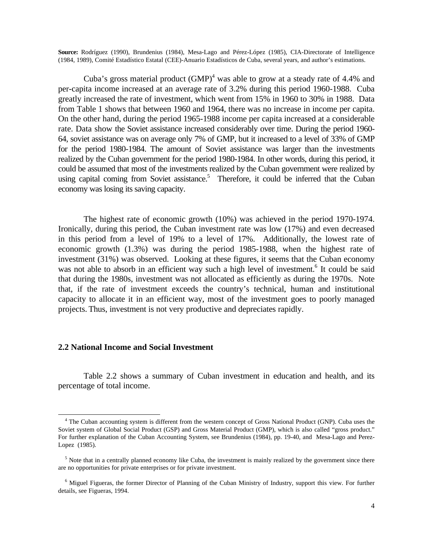**Source:** Rodríguez (1990), Brundenius (1984), Mesa-Lago and Pérez-López (1985), CIA-Directorate of Intelligence (1984, 1989), Comité Estadístico Estatal (CEE)-Anuario Estadísticos de Cuba, several years, and author's estimations.

Cuba's gross material product  $(GMP)^4$  was able to grow at a steady rate of 4.4% and per-capita income increased at an average rate of 3.2% during this period 1960-1988. Cuba greatly increased the rate of investment, which went from 15% in 1960 to 30% in 1988. Data from Table 1 shows that between 1960 and 1964, there was no increase in income per capita. On the other hand, during the period 1965-1988 income per capita increased at a considerable rate. Data show the Soviet assistance increased considerably over time. During the period 1960- 64, soviet assistance was on average only 7% of GMP, but it increased to a level of 33% of GMP for the period 1980-1984. The amount of Soviet assistance was larger than the investments realized by the Cuban government for the period 1980-1984. In other words, during this period, it could be assumed that most of the investments realized by the Cuban government were realized by using capital coming from Soviet assistance.<sup>5</sup> Therefore, it could be inferred that the Cuban economy was losing its saving capacity.

The highest rate of economic growth (10%) was achieved in the period 1970-1974. Ironically, during this period, the Cuban investment rate was low (17%) and even decreased in this period from a level of 19% to a level of 17%. Additionally, the lowest rate of economic growth (1.3%) was during the period 1985-1988, when the highest rate of investment (31%) was observed. Looking at these figures, it seems that the Cuban economy was not able to absorb in an efficient way such a high level of investment.<sup>6</sup> It could be said that during the 1980s, investment was not allocated as efficiently as during the 1970s. Note that, if the rate of investment exceeds the country's technical, human and institutional capacity to allocate it in an efficient way, most of the investment goes to poorly managed projects. Thus, investment is not very productive and depreciates rapidly.

#### **2.2 National Income and Social Investment**

-

Table 2.2 shows a summary of Cuban investment in education and health, and its percentage of total income.

<sup>&</sup>lt;sup>4</sup> The Cuban accounting system is different from the western concept of Gross National Product (GNP). Cuba uses the Soviet system of Global Social Product (GSP) and Gross Material Product (GMP), which is also called "gross product." For further explanation of the Cuban Accounting System, see Brundenius (1984), pp. 19-40, and Mesa-Lago and Perez-Lopez (1985).

 $<sup>5</sup>$  Note that in a centrally planned economy like Cuba, the investment is mainly realized by the government since there</sup> are no opportunities for private enterprises or for private investment.

<sup>&</sup>lt;sup>6</sup> Miguel Figueras, the former Director of Planning of the Cuban Ministry of Industry, support this view. For further details, see Figueras, 1994.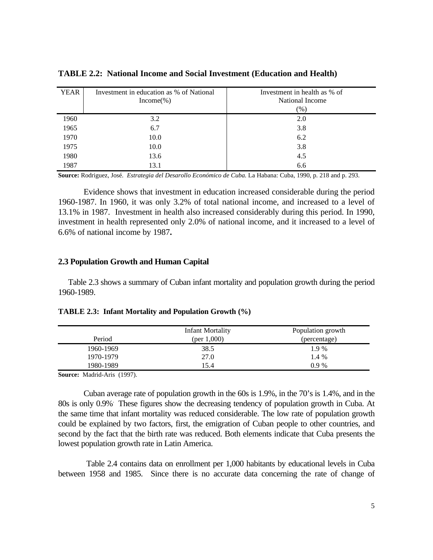| <b>YEAR</b> | Investment in education as % of National<br>$Income(\% )$ | Investment in health as % of<br>National Income<br>$(\%)$ |
|-------------|-----------------------------------------------------------|-----------------------------------------------------------|
| 1960        | 3.2                                                       | 2.0                                                       |
| 1965        | 6.7                                                       | 3.8                                                       |
| 1970        | 10.0                                                      | 6.2                                                       |
| 1975        | 10.0                                                      | 3.8                                                       |
| 1980        | 13.6                                                      | 4.5                                                       |
| 1987        | 13.1                                                      | 6.6                                                       |

**TABLE 2.2: National Income and Social Investment (Education and Health)**

**Source:** Rodriguez, José. *Estrategia del Desarollo Económico de Cuba.* La Habana: Cuba, 1990, p. 218 and p. 293.

Evidence shows that investment in education increased considerable during the period 1960-1987. In 1960, it was only 3.2% of total national income, and increased to a level of 13.1% in 1987. Investment in health also increased considerably during this period. In 1990, investment in health represented only 2.0% of national income, and it increased to a level of 6.6% of national income by 1987**.**

### **2.3 Population Growth and Human Capital**

Table 2.3 shows a summary of Cuban infant mortality and population growth during the period 1960-1989.

| Period    | <b>Infant Mortality</b><br>(per $1,000$ ) | Population growth<br>(percentage) |
|-----------|-------------------------------------------|-----------------------------------|
| 1960-1969 | 38.5                                      | 1.9 %                             |
| 1970-1979 | 27.0                                      | 1.4 %                             |
| 1980-1989 | 15.4                                      | 0.9%                              |

**TABLE 2.3: Infant Mortality and Population Growth (%)**

**Source:** Madrid-Aris (1997).

Cuban average rate of population growth in the 60s is 1.9%, in the 70's is 1.4%, and in the 80s is only 0.9%. These figures show the decreasing tendency of population growth in Cuba. At the same time that infant mortality was reduced considerable. The low rate of population growth could be explained by two factors, first, the emigration of Cuban people to other countries, and second by the fact that the birth rate was reduced. Both elements indicate that Cuba presents the lowest population growth rate in Latin America.

 Table 2.4 contains data on enrollment per 1,000 habitants by educational levels in Cuba between 1958 and 1985. Since there is no accurate data concerning the rate of change of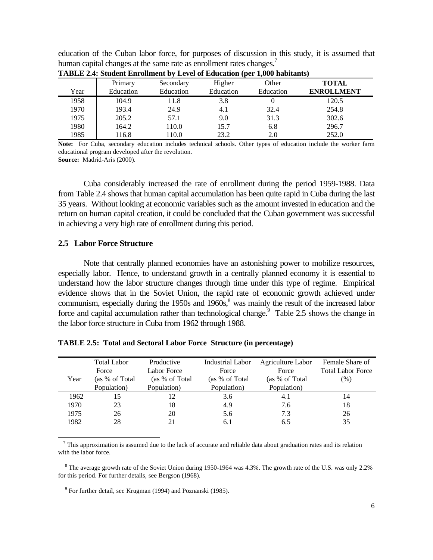education of the Cuban labor force, for purposes of discussion in this study, it is assumed that human capital changes at the same rate as enrollment rates changes.<sup>7</sup>

|      | Primary   | Secondary | Higher    | Other     | <b>TOTAL</b>      |
|------|-----------|-----------|-----------|-----------|-------------------|
| Year | Education | Education | Education | Education | <b>ENROLLMENT</b> |
| 1958 | 104.9     | 11.8      | 3.8       |           | 120.5             |
| 1970 | 193.4     | 24.9      | 4.1       | 32.4      | 254.8             |
| 1975 | 205.2     | 57.1      | 9.0       | 31.3      | 302.6             |
| 1980 | 164.2     | 110.0     | 15.7      | 6.8       | 296.7             |
| 1985 | 116.8     | 110.0     | 23.2      | 2.0       | 252.0             |

**TABLE 2.4: Student Enrollment by Level of Education (per 1,000 habitants)**

**Note:** For Cuba, secondary education includes technical schools. Other types of education include the worker farm educational program developed after the revolution.

**Source:** Madrid-Aris (2000).

Cuba considerably increased the rate of enrollment during the period 1959-1988. Data from Table 2.4 shows that human capital accumulation has been quite rapid in Cuba during the last 35 years. Without looking at economic variables such as the amount invested in education and the return on human capital creation, it could be concluded that the Cuban government was successful in achieving a very high rate of enrollment during this period.

#### **2.5 Labor Force Structure**

-

Note that centrally planned economies have an astonishing power to mobilize resources, especially labor. Hence, to understand growth in a centrally planned economy it is essential to understand how the labor structure changes through time under this type of regime. Empirical evidence shows that in the Soviet Union, the rapid rate of economic growth achieved under communism, especially during the 1950s and 1960s,<sup>8</sup> was mainly the result of the increased labor force and capital accumulation rather than technological change.<sup>9</sup> Table 2.5 shows the change in the labor force structure in Cuba from 1962 through 1988.

|      | <b>Total Labor</b> | Productive      | Industrial Labor | Agriculture Labor | Female Share of          |
|------|--------------------|-----------------|------------------|-------------------|--------------------------|
|      | Force              | Labor Force     | Force            | Force             | <b>Total Labor Force</b> |
| Year | (as % of Total     | (as % of Total) | (as % of Total)  | (as % of Total)   | $(\%)$                   |
|      | Population)        | Population)     | Population)      | Population)       |                          |
| 1962 | 15                 |                 | 3.6              | 4.1               | 14                       |
| 1970 | 23                 | 18              | 4.9              | 7.6               | 18                       |
| 1975 | 26                 | 20              | 5.6              | 7.3               | 26                       |
| 1982 | 28                 |                 | 6.1              | 6.5               | 35                       |
|      |                    |                 |                  |                   |                          |

**TABLE 2.5: Total and Sectoral Labor Force Structure (in percentage)**

 $<sup>7</sup>$  This approximation is assumed due to the lack of accurate and reliable data about graduation rates and its relation</sup> with the labor force.

 $8$  The average growth rate of the Soviet Union during 1950-1964 was 4.3%. The growth rate of the U.S. was only 2.2% for this period. For further details, see Bergson (1968).

<sup>9</sup> For further detail, see Krugman (1994) and Poznanski (1985).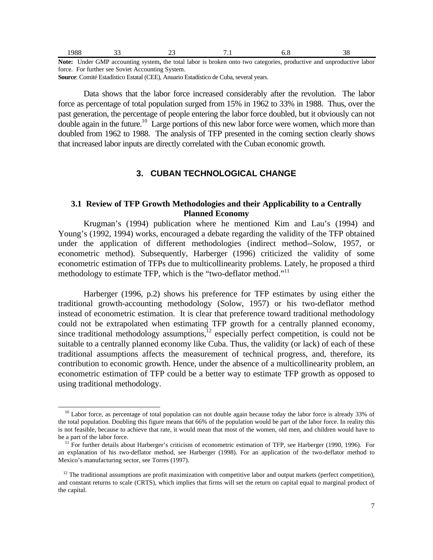| $\sim$<br>_____ | _______ | --<br>. | the contract of the contract of<br>$\sim$ $\sim$ |              |                            |
|-----------------|---------|---------|--------------------------------------------------|--------------|----------------------------|
| 1988            |         | $\sim$  | . .                                              | , . <u>.</u> | ∍.<br>$\sim$ $\sim$ $\sim$ |

**Note:** Under GMP accounting system**,** the total labor is broken onto two categories, productive and unproductive labor force. For further see Soviet Accounting System.

**Source**: Comité Estadístico Estatal (CEE), Anuario Estadístico de Cuba, several years.

Data shows that the labor force increased considerably after the revolution. The labor force as percentage of total population surged from 15% in 1962 to 33% in 1988. Thus, over the past generation, the percentage of people entering the labor force doubled, but it obviously can not double again in the future.<sup>10</sup> Large portions of this new labor force were women, which more than doubled from 1962 to 1988. The analysis of TFP presented in the coming section clearly shows that increased labor inputs are directly correlated with the Cuban economic growth.

# **3. CUBAN TECHNOLOGICAL CHANGE**

## **3.1 Review of TFP Growth Methodologies and their Applicability to a Centrally Planned Economy**

Krugman's (1994) publication where he mentioned Kim and Lau's (1994) and Young's (1992, 1994) works, encouraged a debate regarding the validity of the TFP obtained under the application of different methodologies (indirect method--Solow, 1957, or econometric method). Subsequently, Harberger (1996) criticized the validity of some econometric estimation of TFPs due to multicollinearity problems. Lately, he proposed a third methodology to estimate TFP, which is the "two-deflator method."<sup>11</sup>

Harberger (1996, p.2) shows his preference for TFP estimates by using either the traditional growth-accounting methodology (Solow, 1957) or his two-deflator method instead of econometric estimation. It is clear that preference toward traditional methodology could not be extrapolated when estimating TFP growth for a centrally planned economy, since traditional methodology assumptions,<sup>12</sup> especially perfect competition, is could not be suitable to a centrally planned economy like Cuba. Thus, the validity (or lack) of each of these traditional assumptions affects the measurement of technical progress, and, therefore, its contribution to economic growth. Hence, under the absence of a multicollinearity problem, an econometric estimation of TFP could be a better way to estimate TFP growth as opposed to using traditional methodology.

 $10$  Labor force, as percentage of total population can not double again because today the labor force is already 33% of the total population. Doubling this figure means that 66% of the population would be part of the labor force. In reality this is not feasible, because to achieve that rate, it would mean that most of the women, old men, and children would have to be a part of the labor force.

 $11$  For further details about Harberger's criticism of econometric estimation of TFP, see Harberger (1990, 1996). For an explanation of his two-deflator method, see Harberger (1998). For an application of the two-deflator method to Mexico's manufacturing sector, see Torres (1997).

 $12$  The traditional assumptions are profit maximization with competitive labor and output markets (perfect competition), and constant returns to scale (CRTS), which implies that firms will set the return on capital equal to marginal product of the capital.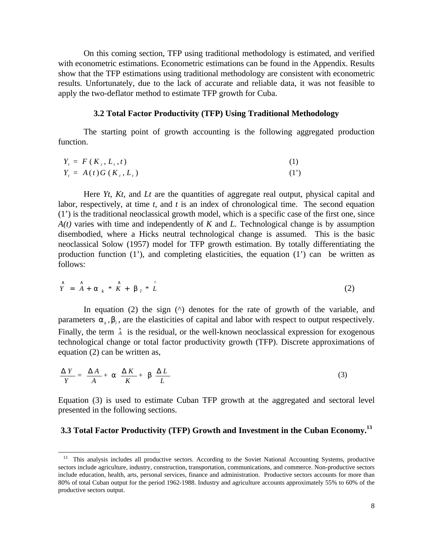On this coming section, TFP using traditional methodology is estimated, and verified with econometric estimations. Econometric estimations can be found in the Appendix. Results show that the TFP estimations using traditional methodology are consistent with econometric results. Unfortunately, due to the lack of accurate and reliable data, it was not feasible to apply the two-deflator method to estimate TFP growth for Cuba.

#### **3.2 Total Factor Productivity (TFP) Using Traditional Methodology**

The starting point of growth accounting is the following aggregated production function.

$$
Y_{t} = F(K_{t}, L_{t}, t)
$$
  
\n
$$
Y_{t} = A(t)G(K_{t}, L_{t})
$$
\n(1)

Here *Yt*, *Kt*, and *Lt* are the quantities of aggregate real output, physical capital and labor, respectively, at time *t*, and *t* is an index of chronological time. The second equation (1') is the traditional neoclassical growth model, which is a specific case of the first one, since *A(t)* varies with time and independently of *K* and *L.* Technological change is by assumption disembodied, where a Hicks neutral technological change is assumed. This is the basic neoclassical Solow (1957) model for TFP growth estimation. By totally differentiating the production function  $(1')$ , and completing elasticities, the equation  $(1')$  can be written as follows:

$$
\hat{Y} = \hat{A} + a_k * \hat{K} + b_l * \hat{L}
$$
 (2)

In equation (2) the sign  $(^{\wedge})$  denotes for the rate of growth of the variable, and parameters  $a_k$ ,  $b_l$ , are the elasticities of capital and labor with respect to output respectively. Finally, the term  $\hat{A}$  is the residual, or the well-known neoclassical expression for exogenous technological change or total factor productivity growth (TFP). Discrete approximations of equation (2) can be written as,

$$
\frac{\Delta Y}{Y} = \frac{\Delta A}{A} + \mathbf{a} \frac{\Delta K}{K} + \mathbf{b} \frac{\Delta L}{L}
$$
 (3)

1

Equation (3) is used to estimate Cuban TFP growth at the aggregated and sectoral level presented in the following sections.

# **3.3 Total Factor Productivity (TFP) Growth and Investment in the Cuban Economy.<sup>13</sup>**

<sup>&</sup>lt;sup>13</sup> This analysis includes all productive sectors. According to the Soviet National Accounting Systems, productive sectors include agriculture, industry, construction, transportation, communications, and commerce. Non-productive sectors include education, health, arts, personal services, finance and administration. Productive sectors accounts for more than 80% of total Cuban output for the period 1962-1988. Industry and agriculture accounts approximately 55% to 60% of the productive sectors output.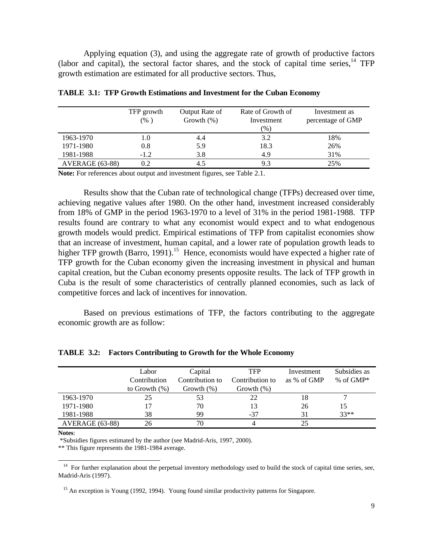Applying equation (3), and using the aggregate rate of growth of productive factors (labor and capital), the sectoral factor shares, and the stock of capital time series,  $^{14}$  TFP growth estimation are estimated for all productive sectors. Thus,

|                 | TFP growth | Output Rate of | Rate of Growth of | Investment as     |
|-----------------|------------|----------------|-------------------|-------------------|
|                 | (% )       | Growth $(\%)$  | Investment        | percentage of GMP |
|                 |            |                | (%)               |                   |
| 1963-1970       | 1.0        | 4.4            | 3.2               | 18%               |
| 1971-1980       | 0.8        | 5.9            | 18.3              | 26%               |
| 1981-1988       | $-1.2$     | 3.8            | 4.9               | 31%               |
| AVERAGE (63-88) | 0.2        | 4.5            | 9.3               | 25%               |

**TABLE 3.1: TFP Growth Estimations and Investment for the Cuban Economy**

**Note:** For references about output and investment figures, see Table 2.1.

Results show that the Cuban rate of technological change (TFPs) decreased over time, achieving negative values after 1980. On the other hand, investment increased considerably from 18% of GMP in the period 1963-1970 to a level of 31% in the period 1981-1988. TFP results found are contrary to what any economist would expect and to what endogenous growth models would predict. Empirical estimations of TFP from capitalist economies show that an increase of investment, human capital, and a lower rate of population growth leads to higher TFP growth (Barro, 1991).<sup>15</sup> Hence, economists would have expected a higher rate of TFP growth for the Cuban economy given the increasing investment in physical and human capital creation, but the Cuban economy presents opposite results. The lack of TFP growth in Cuba is the result of some characteristics of centrally planned economies, such as lack of competitive forces and lack of incentives for innovation.

 Based on previous estimations of TFP, the factors contributing to the aggregate economic growth are as follow:

|                 | Labor            | Capital         | <b>TFP</b>      | Investment  | Subsidies as |
|-----------------|------------------|-----------------|-----------------|-------------|--------------|
|                 | Contribution     | Contribution to | Contribution to | as % of GMP | % of $GMP^*$ |
|                 | to Growth $(\%)$ | Growth $(\%)$   | Growth $(\%)$   |             |              |
| 1963-1970       | 25               | 53              | 22              | 18          |              |
| 1971-1980       | 17               | 70              | 13              | 26          | 15           |
| 1981-1988       | 38               | 99              | -37             | 31          | $33**$       |
| AVERAGE (63-88) | 26               | 70              |                 | 25          |              |

**TABLE 3.2: Factors Contributing to Growth for the Whole Economy**

**Notes**:

-

\*Subsidies figures estimated by the author (see Madrid-Aris, 1997, 2000).

\*\* This figure represents the 1981-1984 average.

<sup>&</sup>lt;sup>14</sup> For further explanation about the perpetual inventory methodology used to build the stock of capital time series, see, Madrid-Aris (1997).

 $15$  An exception is Young (1992, 1994). Young found similar productivity patterns for Singapore.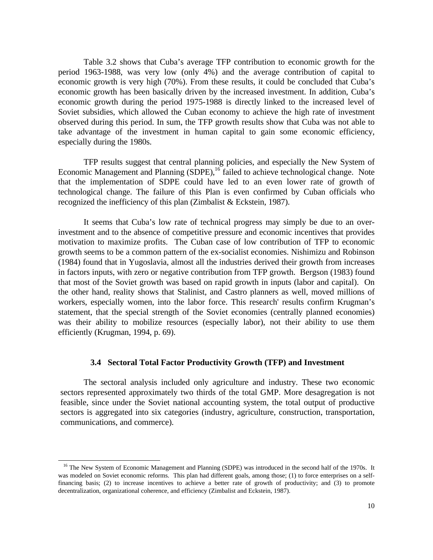Table 3.2 shows that Cuba's average TFP contribution to economic growth for the period 1963-1988, was very low (only 4%) and the average contribution of capital to economic growth is very high (70%). From these results, it could be concluded that Cuba's economic growth has been basically driven by the increased investment. In addition, Cuba's economic growth during the period 1975-1988 is directly linked to the increased level of Soviet subsidies, which allowed the Cuban economy to achieve the high rate of investment observed during this period. In sum, the TFP growth results show that Cuba was not able to take advantage of the investment in human capital to gain some economic efficiency, especially during the 1980s.

TFP results suggest that central planning policies, and especially the New System of Economic Management and Planning (SDPE),<sup>16</sup> failed to achieve technological change. Note that the implementation of SDPE could have led to an even lower rate of growth of technological change. The failure of this Plan is even confirmed by Cuban officials who recognized the inefficiency of this plan (Zimbalist & Eckstein, 1987).

It seems that Cuba's low rate of technical progress may simply be due to an overinvestment and to the absence of competitive pressure and economic incentives that provides motivation to maximize profits. The Cuban case of low contribution of TFP to economic growth seems to be a common pattern of the ex-socialist economies. Nishimizu and Robinson (1984) found that in Yugoslavia, almost all the industries derived their growth from increases in factors inputs, with zero or negative contribution from TFP growth. Bergson (1983) found that most of the Soviet growth was based on rapid growth in inputs (labor and capital). On the other hand, reality shows that Stalinist, and Castro planners as well, moved millions of workers, especially women, into the labor force. This research' results confirm Krugman's statement, that the special strength of the Soviet economies (centrally planned economies) was their ability to mobilize resources (especially labor), not their ability to use them efficiently (Krugman, 1994, p. 69).

#### **3.4 Sectoral Total Factor Productivity Growth (TFP) and Investment**

The sectoral analysis included only agriculture and industry. These two economic sectors represented approximately two thirds of the total GMP. More desagregation is not feasible, since under the Soviet national accounting system, the total output of productive sectors is aggregated into six categories (industry, agriculture, construction, transportation, communications, and commerce).

<sup>&</sup>lt;sup>16</sup> The New System of Economic Management and Planning (SDPE) was introduced in the second half of the 1970s. It was modeled on Soviet economic reforms. This plan had different goals, among those; (1) to force enterprises on a selffinancing basis; (2) to increase incentives to achieve a better rate of growth of productivity; and (3) to promote decentralization, organizational coherence, and efficiency (Zimbalist and Eckstein, 1987).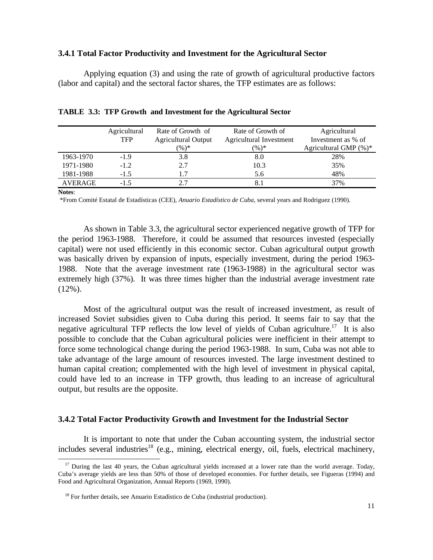#### **3.4.1 Total Factor Productivity and Investment for the Agricultural Sector**

Applying equation (3) and using the rate of growth of agricultural productive factors (labor and capital) and the sectoral factor shares, the TFP estimates are as follows:

|                | Agricultural | Rate of Growth of          | Rate of Growth of       | Agricultural          |
|----------------|--------------|----------------------------|-------------------------|-----------------------|
|                | <b>TFP</b>   | <b>Agricultural Output</b> | Agricultural Investment | Investment as % of    |
|                |              | $(\%)^*$                   | $(\%)^*$                | Agricultural GMP (%)* |
| 1963-1970      | $-1.9$       | 3.8                        | 8.0                     | 28%                   |
| 1971-1980      | $-1.2$       | 2.7                        | 10.3                    | 35%                   |
| 1981-1988      | $-1.5$       | 1.7                        | 5.6                     | 48%                   |
| <b>AVERAGE</b> | $-1.5$       |                            |                         | 37%                   |
|                |              |                            |                         |                       |

**TABLE 3.3: TFP Growth and Investment for the Agricultural Sector**

**Notes**:

-

\*From Comité Estatal de Estadísticas (CEE), *Anuario Estadístico de Cuba*, several years and Rodriguez (1990).

As shown in Table 3.3, the agricultural sector experienced negative growth of TFP for the period 1963-1988. Therefore, it could be assumed that resources invested (especially capital) were not used efficiently in this economic sector. Cuban agricultural output growth was basically driven by expansion of inputs, especially investment, during the period 1963- 1988. Note that the average investment rate (1963-1988) in the agricultural sector was extremely high (37%). It was three times higher than the industrial average investment rate  $(12\%)$ .

Most of the agricultural output was the result of increased investment, as result of increased Soviet subsidies given to Cuba during this period. It seems fair to say that the negative agricultural TFP reflects the low level of yields of Cuban agriculture.<sup>17</sup> It is also possible to conclude that the Cuban agricultural policies were inefficient in their attempt to force some technological change during the period 1963-1988. In sum, Cuba was not able to take advantage of the large amount of resources invested. The large investment destined to human capital creation; complemented with the high level of investment in physical capital, could have led to an increase in TFP growth, thus leading to an increase of agricultural output, but results are the opposite.

### **3.4.2 Total Factor Productivity Growth and Investment for the Industrial Sector**

It is important to note that under the Cuban accounting system, the industrial sector includes several industries<sup>18</sup> (e.g., mining, electrical energy, oil, fuels, electrical machinery,

 $17$  During the last 40 years, the Cuban agricultural yields increased at a lower rate than the world average. Today, Cuba's average yields are less than 50% of those of developed economies. For further details, see Figueras (1994) and Food and Agricultural Organization, Annual Reports (1969, 1990).

 $18$  For further details, see Anuario Estadístico de Cuba (industrial production).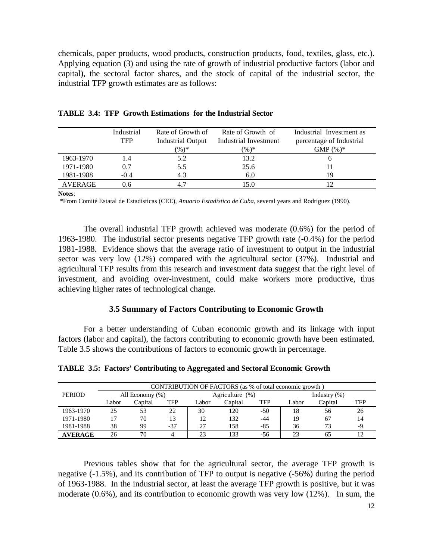chemicals, paper products, wood products, construction products, food, textiles, glass, etc.). Applying equation (3) and using the rate of growth of industrial productive factors (labor and capital), the sectoral factor shares, and the stock of capital of the industrial sector, the industrial TFP growth estimates are as follows:

|                | Industrial | Rate of Growth of | Rate of Growth of     | Industrial Investment as |
|----------------|------------|-------------------|-----------------------|--------------------------|
|                | <b>TFP</b> | Industrial Output | Industrial Investment | percentage of Industrial |
|                |            | $(\%)^*$          | $(\%)^*$              | $GMP(%)^*$               |
| 1963-1970      | 1.4        | 5.2               | 13.2                  |                          |
| 1971-1980      | 0.7        | 5.5               | 25.6                  |                          |
| 1981-1988      | $-0.4$     | 4.3               | 6.0                   | 19                       |
| <b>AVERAGE</b> | 0.6        |                   | 15.0                  |                          |

| <b>TABLE 3.4: TFP Growth Estimations for the Industrial Sector</b> |
|--------------------------------------------------------------------|
|                                                                    |

**Notes**:

\*From Comité Estatal de Estadísticas (CEE), *Anuario Estadístico de Cuba*, several years and Rodriguez (1990).

The overall industrial TFP growth achieved was moderate (0.6%) for the period of 1963-1980. The industrial sector presents negative TFP growth rate (-0.4%) for the period 1981-1988. Evidence shows that the average ratio of investment to output in the industrial sector was very low (12%) compared with the agricultural sector (37%). Industrial and agricultural TFP results from this research and investment data suggest that the right level of investment, and avoiding over-investment, could make workers more productive, thus achieving higher rates of technological change.

### **3.5 Summary of Factors Contributing to Economic Growth**

For a better understanding of Cuban economic growth and its linkage with input factors (labor and capital), the factors contributing to economic growth have been estimated. Table 3.5 shows the contributions of factors to economic growth in percentage.

**TABLE 3.5: Factors' Contributing to Aggregated and Sectoral Economic Growth**

|                |                 |         |                 |       | CONTRIBUTION OF FACTORS (as % of total economic growth) |                 |       |         |            |
|----------------|-----------------|---------|-----------------|-------|---------------------------------------------------------|-----------------|-------|---------|------------|
| <b>PERIOD</b>  | All Economy (%) |         | Agriculture (%) |       |                                                         | Industry $(\%)$ |       |         |            |
|                | Labor           | Capital | TFP             | Labor | Capital                                                 | TFP             | Labor | Capital | <b>TFP</b> |
| 1963-1970      | 25              | 53      | 22              | 30    | 120                                                     | $-50$           | 18    | 56      | 26         |
| 1971-1980      |                 | 70      | 13              | 12    | 132                                                     | -44             | 19    | 67      | 14         |
| 1981-1988      | 38              | 99      | $-37$           | 27    | 158                                                     | $-85$           | 36    | 73      | -9         |
| <b>AVERAGE</b> | 26              | 70      |                 | 23    | 33                                                      | -56             | 23    |         |            |

Previous tables show that for the agricultural sector, the average TFP growth is negative (-1.5%), and its contribution of TFP to output is negative (-56%) during the period of 1963-1988. In the industrial sector, at least the average TFP growth is positive, but it was moderate (0.6%), and its contribution to economic growth was very low (12%). In sum, the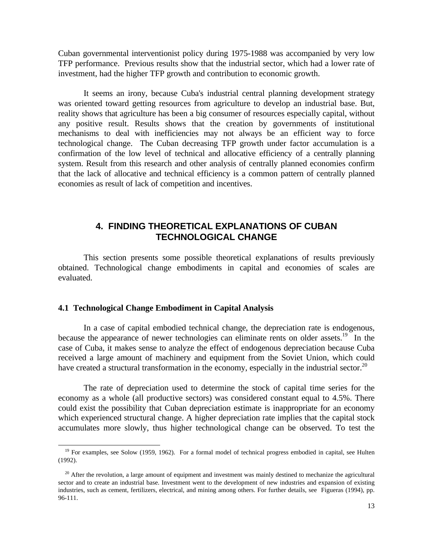Cuban governmental interventionist policy during 1975-1988 was accompanied by very low TFP performance. Previous results show that the industrial sector, which had a lower rate of investment, had the higher TFP growth and contribution to economic growth.

It seems an irony, because Cuba's industrial central planning development strategy was oriented toward getting resources from agriculture to develop an industrial base. But, reality shows that agriculture has been a big consumer of resources especially capital, without any positive result. Results shows that the creation by governments of institutional mechanisms to deal with inefficiencies may not always be an efficient way to force technological change. The Cuban decreasing TFP growth under factor accumulation is a confirmation of the low level of technical and allocative efficiency of a centrally planning system. Result from this research and other analysis of centrally planned economies confirm that the lack of allocative and technical efficiency is a common pattern of centrally planned economies as result of lack of competition and incentives.

# **4. FINDING THEORETICAL EXPLANATIONS OF CUBAN TECHNOLOGICAL CHANGE**

This section presents some possible theoretical explanations of results previously obtained. Technological change embodiments in capital and economies of scales are evaluated.

#### **4.1 Technological Change Embodiment in Capital Analysis**

-

In a case of capital embodied technical change, the depreciation rate is endogenous, because the appearance of newer technologies can eliminate rents on older assets.<sup>19</sup> In the case of Cuba, it makes sense to analyze the effect of endogenous depreciation because Cuba received a large amount of machinery and equipment from the Soviet Union, which could have created a structural transformation in the economy, especially in the industrial sector.<sup>20</sup>

The rate of depreciation used to determine the stock of capital time series for the economy as a whole (all productive sectors) was considered constant equal to 4.5%. There could exist the possibility that Cuban depreciation estimate is inappropriate for an economy which experienced structural change. A higher depreciation rate implies that the capital stock accumulates more slowly, thus higher technological change can be observed. To test the

 $19$  For examples, see Solow (1959, 1962). For a formal model of technical progress embodied in capital, see Hulten (1992).

 $20$  After the revolution, a large amount of equipment and investment was mainly destined to mechanize the agricultural sector and to create an industrial base. Investment went to the development of new industries and expansion of existing industries, such as cement, fertilizers, electrical, and mining among others. For further details, see Figueras (1994), pp. 96-111.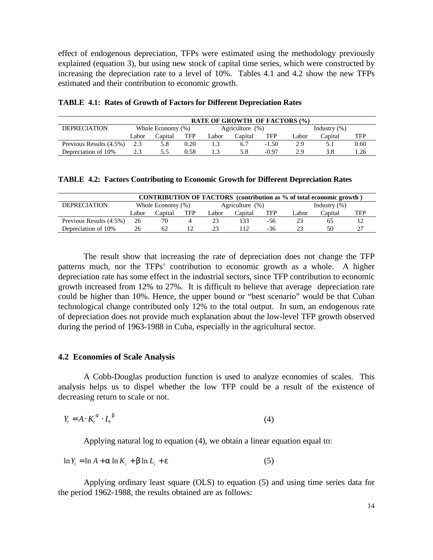effect of endogenous depreciation, TFPs were estimated using the methodology previously explained (equation 3), but using new stock of capital time series, which were constructed by increasing the depreciation rate to a level of 10%. Tables 4.1 and 4.2 show the new TFPs estimated and their contribution to economic growth.

| <b>RATE OF GROWTH OF FACTORS (%)</b> |                      |         |      |       |                    |         |                 |         |      |
|--------------------------------------|----------------------|---------|------|-------|--------------------|---------|-----------------|---------|------|
| <b>DEPRECIATION</b>                  | Whole Economy $(\%)$ |         |      |       | Agriculture $(\%)$ |         | Industry $(\%)$ |         |      |
|                                      | Labor                | Capital | TFP  | Labor | Capital            | TFP     | `.abor          | Capital | TFP  |
| Previous Results (4.5%)              |                      | 5.8     | 0.20 |       | 6.7                | $-1.50$ | 2.9             | 5.1     | 0.60 |
| Depreciation of 10%                  |                      |         | 0.58 |       | 5.8                | $-0.97$ | 29              | 3.8     | .26  |

|  | <b>TABLE 4.1: Rates of Growth of Factors for Different Depreciation Rates</b> |  |  |  |
|--|-------------------------------------------------------------------------------|--|--|--|
|--|-------------------------------------------------------------------------------|--|--|--|

| <b>TABLE 4.2: Factors Contributing to Economic Growth for Different Depreciation Rates</b> |  |  |  |  |  |
|--------------------------------------------------------------------------------------------|--|--|--|--|--|
|                                                                                            |  |  |  |  |  |

| <b>CONTRIBUTION OF FACTORS</b> (contribution as % of total economic growth) |                   |         |            |                    |         |     |                 |         |     |
|-----------------------------------------------------------------------------|-------------------|---------|------------|--------------------|---------|-----|-----------------|---------|-----|
| <b>DEPRECIATION</b>                                                         | Whole Economy (%) |         |            | Agriculture $(\%)$ |         |     | Industry $(\%)$ |         |     |
|                                                                             | Labor             | Capital | <b>TFP</b> | `.abor             | Capital | TFP | Labor           | Capital | TFP |
| Previous Results (4.5%)                                                     | 26                |         |            |                    | 133     | -56 |                 | 65      |     |
| Depreciation of 10%                                                         | 26                | 62      |            |                    | 12      | -36 |                 | 50      |     |

The result show that increasing the rate of depreciation does not change the TFP patterns much, nor the TFPs' contribution to economic growth as a whole. A higher depreciation rate has some effect in the industrial sectors, since TFP contribution to economic growth increased from 12% to 27%. It is difficult to believe that average depreciation rate could be higher than 10%. Hence, the upper bound or "best scenario" would be that Cuban technological change contributed only 12% to the total output. In sum, an endogenous rate of depreciation does not provide much explanation about the low-level TFP growth observed during the period of 1963-1988 in Cuba, especially in the agricultural sector.

### **4.2 Economies of Scale Analysis**

A Cobb-Douglas production function is used to analyze economies of scales. This analysis helps us to dispel whether the low TFP could be a result of the existence of decreasing return to scale or not.

$$
Y_t = A \cdot K_t^a \cdot L_t^b \tag{4}
$$

Applying natural log to equation (4), we obtain a linear equation equal to:

$$
\ln Y_t = \ln A + a \ln K_t + b \ln L_t + e \tag{5}
$$

Applying ordinary least square (OLS) to equation (5) and using time series data for the period 1962-1988, the results obtained are as follows: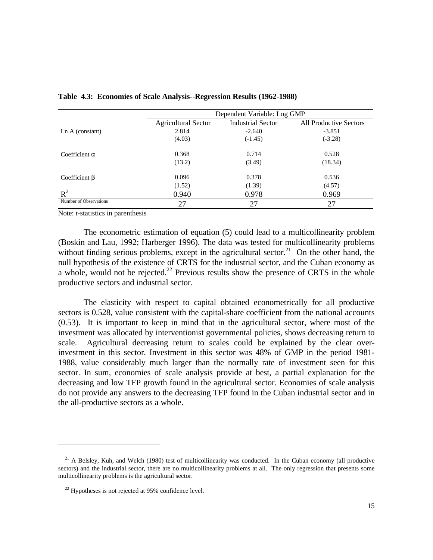|                        | Dependent Variable: Log GMP |                          |                               |  |  |  |
|------------------------|-----------------------------|--------------------------|-------------------------------|--|--|--|
|                        | Agricultural Sector         | <b>Industrial Sector</b> | <b>All Productive Sectors</b> |  |  |  |
| Ln A (constant)        | 2.814                       | $-2.640$                 | $-3.851$                      |  |  |  |
|                        | (4.03)                      | $(-1.45)$                | $(-3.28)$                     |  |  |  |
| Coefficient $\alpha$   | 0.368                       | 0.714                    | 0.528                         |  |  |  |
|                        | (13.2)                      | (3.49)                   | (18.34)                       |  |  |  |
| Coefficient $\beta$    | 0.096                       | 0.378                    | 0.536                         |  |  |  |
|                        | (1.52)                      | (1.39)                   | (4.57)                        |  |  |  |
| $R^2$                  | 0.940                       | 0.978                    | 0.969                         |  |  |  |
| Number of Observations | 27                          | 27                       | 27                            |  |  |  |

**Table 4.3: Economies of Scale Analysis--Regression Results (1962-1988)**

Note: *t*-statistics in parenthesis

The econometric estimation of equation (5) could lead to a multicollinearity problem (Boskin and Lau, 1992; Harberger 1996). The data was tested for multicollinearity problems without finding serious problems, except in the agricultural sector.<sup>21</sup> On the other hand, the null hypothesis of the existence of CRTS for the industrial sector, and the Cuban economy as a whole, would not be rejected.<sup>22</sup> Previous results show the presence of CRTS in the whole productive sectors and industrial sector.

The elasticity with respect to capital obtained econometrically for all productive sectors is 0.528, value consistent with the capital-share coefficient from the national accounts (0.53). It is important to keep in mind that in the agricultural sector, where most of the investment was allocated by interventionist governmental policies, shows decreasing return to scale. Agricultural decreasing return to scales could be explained by the clear overinvestment in this sector. Investment in this sector was 48% of GMP in the period 1981- 1988, value considerably much larger than the normally rate of investment seen for this sector. In sum, economies of scale analysis provide at best, a partial explanation for the decreasing and low TFP growth found in the agricultural sector. Economies of scale analysis do not provide any answers to the decreasing TFP found in the Cuban industrial sector and in the all-productive sectors as a whole.

 $21$  A Belsley, Kuh, and Welch (1980) test of multicollinearity was conducted. In the Cuban economy (all productive sectors) and the industrial sector, there are no multicollinearity problems at all. The only regression that presents some multicollinearity problems is the agricultural sector.

 $22$  Hypotheses is not rejected at 95% confidence level.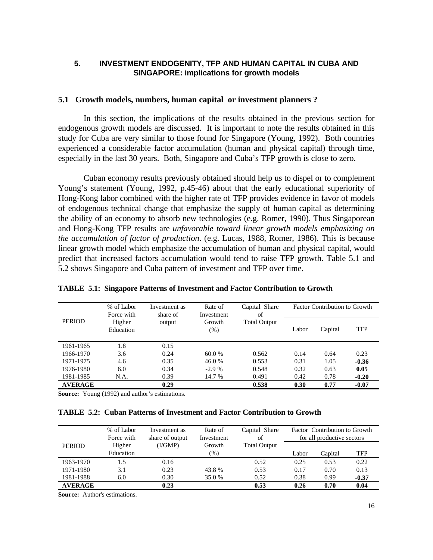# **5. INVESTMENT ENDOGENITY, TFP AND HUMAN CAPITAL IN CUBA AND SINGAPORE: implications for growth models**

### **5.1 Growth models, numbers, human capital or investment planners ?**

In this section, the implications of the results obtained in the previous section for endogenous growth models are discussed. It is important to note the results obtained in this study for Cuba are very similar to those found for Singapore (Young, 1992). Both countries experienced a considerable factor accumulation (human and physical capital) through time, especially in the last 30 years. Both, Singapore and Cuba's TFP growth is close to zero.

Cuban economy results previously obtained should help us to dispel or to complement Young's statement (Young, 1992, p.45-46) about that the early educational superiority of Hong-Kong labor combined with the higher rate of TFP provides evidence in favor of models of endogenous technical change that emphasize the supply of human capital as determining the ability of an economy to absorb new technologies (e.g. Romer, 1990). Thus Singaporean and Hong-Kong TFP results are *unfavorable toward linear growth models emphasizing on the accumulation of factor of production*. (e.g. Lucas, 1988, Romer, 1986). This is because linear growth model which emphasize the accumulation of human and physical capital, would predict that increased factors accumulation would tend to raise TFP growth. Table 5.1 and 5.2 shows Singapore and Cuba pattern of investment and TFP over time.

|                | % of Labor<br>Force with | Investment as<br>share of | Rate of<br>Investment | Capital Share<br>of | <b>Factor Contribution to Growth</b> |         |            |  |
|----------------|--------------------------|---------------------------|-----------------------|---------------------|--------------------------------------|---------|------------|--|
| <b>PERIOD</b>  | Higher<br>Education      | output                    | Growth<br>(% )        | <b>Total Output</b> | Labor                                | Capital | <b>TFP</b> |  |
| 1961-1965      | 1.8                      | 0.15                      |                       |                     |                                      |         |            |  |
| 1966-1970      | 3.6                      | 0.24                      | 60.0 %                | 0.562               | 0.14                                 | 0.64    | 0.23       |  |
| 1971-1975      | 4.6                      | 0.35                      | 46.0 %                | 0.553               | 0.31                                 | 1.05    | $-0.36$    |  |
| 1976-1980      | 6.0                      | 0.34                      | $-2.9%$               | 0.548               | 0.32                                 | 0.63    | 0.05       |  |
| 1981-1985      | N.A.                     | 0.39                      | 14.7 %                | 0.491               | 0.42                                 | 0.78    | $-0.20$    |  |
| <b>AVERAGE</b> |                          | 0.29                      |                       | 0.538               | 0.30                                 | 0.77    | $-0.07$    |  |

**Source:** Young (1992) and author's estimations.

#### **TABLE 5.2: Cuban Patterns of Investment and Factor Contribution to Growth**

|                | % of Labor<br>Force with | Investment as<br>share of output | Rate of<br>Investment | Capital Share<br>of | Factor Contribution to Growth<br>for all productive sectors |         |            |
|----------------|--------------------------|----------------------------------|-----------------------|---------------------|-------------------------------------------------------------|---------|------------|
| <b>PERIOD</b>  | Higher                   | (I/GMP)                          | Growth                | <b>Total Output</b> |                                                             |         |            |
|                | Education                |                                  | $(\%)$                |                     | Labor                                                       | Capital | <b>TFP</b> |
| 1963-1970      | 1.5                      | 0.16                             |                       | 0.52                | 0.25                                                        | 0.53    | 0.22       |
| 1971-1980      | 3.1                      | 0.23                             | 43.8%                 | 0.53                | 0.17                                                        | 0.70    | 0.13       |
| 1981-1988      | 6.0                      | 0.30                             | 35.0 %                | 0.52                | 0.38                                                        | 0.99    | $-0.37$    |
| <b>AVERAGE</b> |                          | 0.23                             |                       | 0.53                | 0.26                                                        | 0.70    | 0.04       |

**Source:** Author's estimations.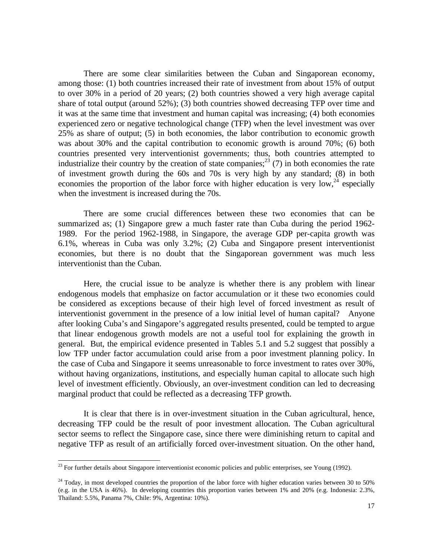There are some clear similarities between the Cuban and Singaporean economy, among those: (1) both countries increased their rate of investment from about 15% of output to over 30% in a period of 20 years; (2) both countries showed a very high average capital share of total output (around 52%); (3) both countries showed decreasing TFP over time and it was at the same time that investment and human capital was increasing; (4) both economies experienced zero or negative technological change (TFP) when the level investment was over 25% as share of output; (5) in both economies, the labor contribution to economic growth was about 30% and the capital contribution to economic growth is around 70%; (6) both countries presented very interventionist governments; thus, both countries attempted to industrialize their country by the creation of state companies;<sup>23</sup> (7) in both economies the rate of investment growth during the 60s and 70s is very high by any standard; (8) in both economies the proportion of the labor force with higher education is very low,  $24$  especially when the investment is increased during the 70s.

There are some crucial differences between these two economies that can be summarized as; (1) Singapore grew a much faster rate than Cuba during the period 1962- 1989. For the period 1962-1988, in Singapore, the average GDP per-capita growth was 6.1%, whereas in Cuba was only 3.2%; (2) Cuba and Singapore present interventionist economies, but there is no doubt that the Singaporean government was much less interventionist than the Cuban.

Here, the crucial issue to be analyze is whether there is any problem with linear endogenous models that emphasize on factor accumulation or it these two economies could be considered as exceptions because of their high level of forced investment as result of interventionist government in the presence of a low initial level of human capital? Anyone after looking Cuba's and Singapore's aggregated results presented, could be tempted to argue that linear endogenous growth models are not a useful tool for explaining the growth in general. But, the empirical evidence presented in Tables 5.1 and 5.2 suggest that possibly a low TFP under factor accumulation could arise from a poor investment planning policy. In the case of Cuba and Singapore it seems unreasonable to force investment to rates over 30%, without having organizations, institutions, and especially human capital to allocate such high level of investment efficiently. Obviously, an over-investment condition can led to decreasing marginal product that could be reflected as a decreasing TFP growth.

It is clear that there is in over-investment situation in the Cuban agricultural, hence, decreasing TFP could be the result of poor investment allocation. The Cuban agricultural sector seems to reflect the Singapore case, since there were diminishing return to capital and negative TFP as result of an artificially forced over-investment situation. On the other hand,

 $23$  For further details about Singapore interventionist economic policies and public enterprises, see Young (1992).

 $24$  Today, in most developed countries the proportion of the labor force with higher education varies between 30 to 50% (e.g. in the USA is 46%). In developing countries this proportion varies between 1% and 20% (e.g. Indonesia: 2.3%, Thailand: 5.5%, Panama 7%, Chile: 9%, Argentina: 10%).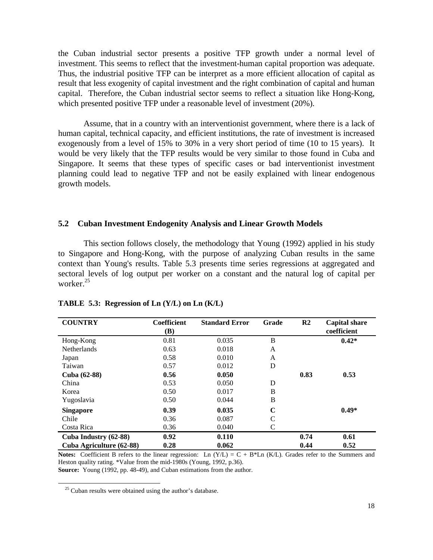the Cuban industrial sector presents a positive TFP growth under a normal level of investment. This seems to reflect that the investment-human capital proportion was adequate. Thus, the industrial positive TFP can be interpret as a more efficient allocation of capital as result that less exogenity of capital investment and the right combination of capital and human capital. Therefore, the Cuban industrial sector seems to reflect a situation like Hong-Kong, which presented positive TFP under a reasonable level of investment (20%).

Assume, that in a country with an interventionist government, where there is a lack of human capital, technical capacity, and efficient institutions, the rate of investment is increased exogenously from a level of 15% to 30% in a very short period of time (10 to 15 years). It would be very likely that the TFP results would be very similar to those found in Cuba and Singapore. It seems that these types of specific cases or bad interventionist investment planning could lead to negative TFP and not be easily explained with linear endogenous growth models.

#### **5.2 Cuban Investment Endogenity Analysis and Linear Growth Models**

This section follows closely, the methodology that Young (1992) applied in his study to Singapore and Hong-Kong, with the purpose of analyzing Cuban results in the same context than Young's results. Table 5.3 presents time series regressions at aggregated and sectoral levels of log output per worker on a constant and the natural log of capital per worker.<sup>25</sup>

| <b>COUNTRY</b>           | <b>Coefficient</b><br>(B) | <b>Standard Error</b> | Grade        | R <sub>2</sub> | <b>Capital share</b><br>coefficient |
|--------------------------|---------------------------|-----------------------|--------------|----------------|-------------------------------------|
| Hong-Kong                | 0.81                      | 0.035                 | B            |                | $0.42*$                             |
| <b>Netherlands</b>       | 0.63                      | 0.018                 | $\mathsf{A}$ |                |                                     |
| Japan                    | 0.58                      | 0.010                 | A            |                |                                     |
| Taiwan                   | 0.57                      | 0.012                 | D            |                |                                     |
| Cuba (62-88)             | 0.56                      | 0.050                 |              | 0.83           | 0.53                                |
| China                    | 0.53                      | 0.050                 | D            |                |                                     |
| Korea                    | 0.50                      | 0.017                 | B            |                |                                     |
| Yugoslavia               | 0.50                      | 0.044                 | B            |                |                                     |
| <b>Singapore</b>         | 0.39                      | 0.035                 | C            |                | $0.49*$                             |
| Chile                    | 0.36                      | 0.087                 | $\mathsf{C}$ |                |                                     |
| Costa Rica               | 0.36                      | 0.040                 | C            |                |                                     |
| Cuba Industry (62-88)    | 0.92                      | 0.110                 |              | 0.74           | 0.61                                |
| Cuba Agriculture (62-88) | 0.28                      | 0.062                 |              | 0.44           | 0.52                                |

#### **TABLE 5.3: Regression of Ln (Y/L) on Ln (K/L)**

**Notes:** Coefficient B refers to the linear regression: Ln  $(Y/L) = C + B^*Ln (K/L)$ . Grades refer to the Summers and Heston quality rating. \*Value from the mid-1980s (Young, 1992, p.36). **Source:** Young (1992, pp. 48-49), and Cuban estimations from the author.

 $25$  Cuban results were obtained using the author's database.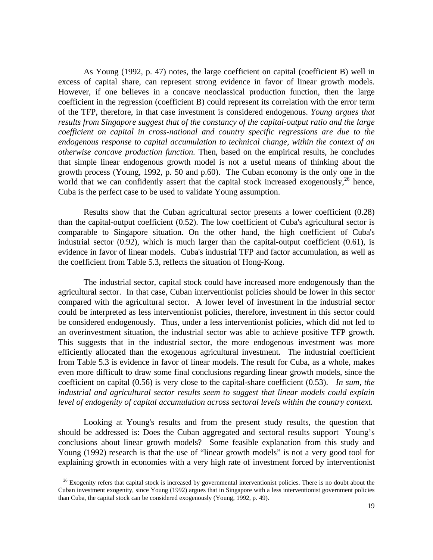As Young (1992, p. 47) notes, the large coefficient on capital (coefficient B) well in excess of capital share, can represent strong evidence in favor of linear growth models. However, if one believes in a concave neoclassical production function, then the large coefficient in the regression (coefficient B) could represent its correlation with the error term of the TFP, therefore, in that case investment is considered endogenous. *Young argues that results from Singapore suggest that of the constancy of the capital-output ratio and the large coefficient on capital in cross-national and country specific regressions are due to the endogenous response to capital accumulation to technical change, within the context of an otherwise concave production function.* Then, based on the empirical results, he concludes that simple linear endogenous growth model is not a useful means of thinking about the growth process (Young, 1992, p. 50 and p.60). The Cuban economy is the only one in the world that we can confidently assert that the capital stock increased exogenously,<sup>26</sup> hence, Cuba is the perfect case to be used to validate Young assumption.

Results show that the Cuban agricultural sector presents a lower coefficient (0.28) than the capital-output coefficient (0.52). The low coefficient of Cuba's agricultural sector is comparable to Singapore situation. On the other hand, the high coefficient of Cuba's industrial sector  $(0.92)$ , which is much larger than the capital-output coefficient  $(0.61)$ , is evidence in favor of linear models. Cuba's industrial TFP and factor accumulation, as well as the coefficient from Table 5.3, reflects the situation of Hong-Kong.

The industrial sector, capital stock could have increased more endogenously than the agricultural sector. In that case, Cuban interventionist policies should be lower in this sector compared with the agricultural sector. A lower level of investment in the industrial sector could be interpreted as less interventionist policies, therefore, investment in this sector could be considered endogenously. Thus, under a less interventionist policies, which did not led to an overinvestment situation, the industrial sector was able to achieve positive TFP growth. This suggests that in the industrial sector, the more endogenous investment was more efficiently allocated than the exogenous agricultural investment. The industrial coefficient from Table 5.3 is evidence in favor of linear models. The result for Cuba, as a whole, makes even more difficult to draw some final conclusions regarding linear growth models, since the coefficient on capital (0.56) is very close to the capital-share coefficient (0.53). *In sum, the industrial and agricultural sector results seem to suggest that linear models could explain level of endogenity of capital accumulation across sectoral levels within the country context.*

Looking at Young's results and from the present study results, the question that should be addressed is: Does the Cuban aggregated and sectoral results support Young's conclusions about linear growth models? Some feasible explanation from this study and Young (1992) research is that the use of "linear growth models" is not a very good tool for explaining growth in economies with a very high rate of investment forced by interventionist

 $26$  Exogenity refers that capital stock is increased by governmental interventionist policies. There is no doubt about the Cuban investment exogenity, since Young (1992) argues that in Singapore with a less interventionist government policies than Cuba, the capital stock can be considered exogenously (Young, 1992, p. 49).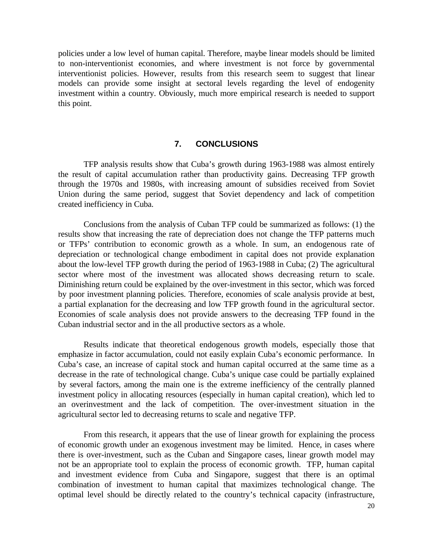policies under a low level of human capital. Therefore, maybe linear models should be limited to non-interventionist economies, and where investment is not force by governmental interventionist policies. However, results from this research seem to suggest that linear models can provide some insight at sectoral levels regarding the level of endogenity investment within a country. Obviously, much more empirical research is needed to support this point.

# **7. CONCLUSIONS**

TFP analysis results show that Cuba's growth during 1963-1988 was almost entirely the result of capital accumulation rather than productivity gains. Decreasing TFP growth through the 1970s and 1980s, with increasing amount of subsidies received from Soviet Union during the same period, suggest that Soviet dependency and lack of competition created inefficiency in Cuba.

Conclusions from the analysis of Cuban TFP could be summarized as follows: (1) the results show that increasing the rate of depreciation does not change the TFP patterns much or TFPs' contribution to economic growth as a whole. In sum, an endogenous rate of depreciation or technological change embodiment in capital does not provide explanation about the low-level TFP growth during the period of 1963-1988 in Cuba; (2) The agricultural sector where most of the investment was allocated shows decreasing return to scale. Diminishing return could be explained by the over-investment in this sector, which was forced by poor investment planning policies. Therefore, economies of scale analysis provide at best, a partial explanation for the decreasing and low TFP growth found in the agricultural sector. Economies of scale analysis does not provide answers to the decreasing TFP found in the Cuban industrial sector and in the all productive sectors as a whole.

Results indicate that theoretical endogenous growth models, especially those that emphasize in factor accumulation, could not easily explain Cuba's economic performance. In Cuba's case, an increase of capital stock and human capital occurred at the same time as a decrease in the rate of technological change. Cuba's unique case could be partially explained by several factors, among the main one is the extreme inefficiency of the centrally planned investment policy in allocating resources (especially in human capital creation), which led to an overinvestment and the lack of competition. The over-investment situation in the agricultural sector led to decreasing returns to scale and negative TFP.

From this research, it appears that the use of linear growth for explaining the process of economic growth under an exogenous investment may be limited. Hence, in cases where there is over-investment, such as the Cuban and Singapore cases, linear growth model may not be an appropriate tool to explain the process of economic growth. TFP, human capital and investment evidence from Cuba and Singapore, suggest that there is an optimal combination of investment to human capital that maximizes technological change. The optimal level should be directly related to the country's technical capacity (infrastructure,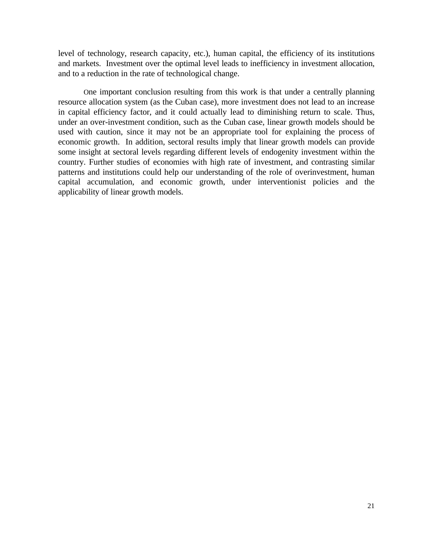level of technology, research capacity, etc.), human capital, the efficiency of its institutions and markets. Investment over the optimal level leads to inefficiency in investment allocation, and to a reduction in the rate of technological change.

One important conclusion resulting from this work is that under a centrally planning resource allocation system (as the Cuban case), more investment does not lead to an increase in capital efficiency factor, and it could actually lead to diminishing return to scale. Thus, under an over-investment condition, such as the Cuban case, linear growth models should be used with caution, since it may not be an appropriate tool for explaining the process of economic growth. In addition, sectoral results imply that linear growth models can provide some insight at sectoral levels regarding different levels of endogenity investment within the country. Further studies of economies with high rate of investment, and contrasting similar patterns and institutions could help our understanding of the role of overinvestment, human capital accumulation, and economic growth, under interventionist policies and the applicability of linear growth models.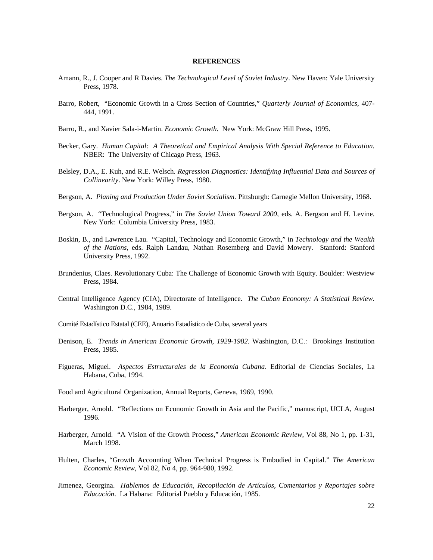#### **REFERENCES**

- Amann, R., J. Cooper and R Davies. *The Technological Level of Soviet Industry*. New Haven: Yale University Press, 1978.
- Barro, Robert, "Economic Growth in a Cross Section of Countries," *Quarterly Journal of Economics,* 407- 444, 1991.
- Barro, R., and Xavier Sala-i-Martin. *Economic Growth.* New York: McGraw Hill Press, 1995.
- Becker, Gary. *Human Capital: A Theoretical and Empirical Analysis With Special Reference to Education.* NBER: The University of Chicago Press, 1963.
- Belsley, D.A., E. Kuh, and R.E. Welsch. *Regression Diagnostics: Identifying Influential Data and Sources of Collinearity*. New York: Willey Press, 1980.
- Bergson, A. *Planing and Production Under Soviet Socialism.* Pittsburgh: Carnegie Mellon University, 1968.
- Bergson, A. "Technological Progress," in *The Soviet Union Toward 2000*, eds. A. Bergson and H. Levine. New York: Columbia University Press, 1983.
- Boskin, B., and Lawrence Lau. "Capital, Technology and Economic Growth," in *Technology and the Wealth of the Nations,* eds. Ralph Landau, Nathan Rosemberg and David Mowery. Stanford: Stanford University Press, 1992.
- Brundenius, Claes. Revolutionary Cuba: The Challenge of Economic Growth with Equity. Boulder: Westview Press, 1984.
- Central Intelligence Agency (CIA), Directorate of Intelligence. *The Cuban Economy: A Statistical Review*. Washington D.C., 1984, 1989.
- Comité Estadístico Estatal (CEE), Anuario Estadístico de Cuba, several years
- Denison, E. *Trends in American Economic Growth*, *1929-1982.* Washington, D.C.: Brookings Institution Press, 1985.
- Figueras, Miguel. *Aspectos Estructurales de la Economía Cubana*. Editorial de Ciencias Sociales, La Habana, Cuba, 1994.
- Food and Agricultural Organization, Annual Reports, Geneva, 1969, 1990.
- Harberger, Arnold. "Reflections on Economic Growth in Asia and the Pacific," manuscript, UCLA, August 1996.
- Harberger, Arnold. "A Vision of the Growth Process," *American Economic Review*, Vol 88, No 1, pp. 1-31, March 1998.
- Hulten, Charles, "Growth Accounting When Technical Progress is Embodied in Capital." *The American Economic Review*, Vol 82, No 4, pp. 964-980, 1992.
- Jimenez, Georgina. *Hablemos de Educación, Recopilación de Artículos, Comentarios y Reportajes sobre Educación*. La Habana: Editorial Pueblo y Educación, 1985.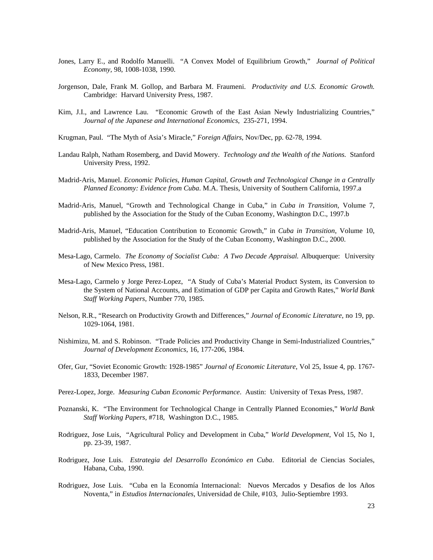- Jones, Larry E., and Rodolfo Manuelli. "A Convex Model of Equilibrium Growth," *Journal of Political Economy,* 98, 1008-1038, 1990.
- Jorgenson, Dale, Frank M. Gollop, and Barbara M. Fraumeni. *Productivity and U.S. Economic Growth.* Cambridge: Harvard University Press, 1987.
- Kim, J.I., and Lawrence Lau. "Economic Growth of the East Asian Newly Industrializing Countries," *Journal of the Japanese and International Economics*, 235-271, 1994.
- Krugman, Paul. "The Myth of Asia's Miracle," *Foreign Affairs*, Nov/Dec, pp. 62-78, 1994.
- Landau Ralph, Natham Rosemberg, and David Mowery. *Technology and the Wealth of the Nations.* Stanford University Press, 1992.
- Madrid-Aris, Manuel. *Economic Policies, Human Capital, Growth and Technological Change in a Centrally Planned Economy: Evidence from Cuba*. M.A. Thesis, University of Southern California, 1997.a
- Madrid-Aris, Manuel, "Growth and Technological Change in Cuba," in *Cuba in Transition*, Volume 7, published by the Association for the Study of the Cuban Economy, Washington D.C., 1997.b
- Madrid-Aris, Manuel, "Education Contribution to Economic Growth," in *Cuba in Transition*, Volume 10, published by the Association for the Study of the Cuban Economy, Washington D.C., 2000.
- Mesa-Lago, Carmelo. *The Economy of Socialist Cuba: A Two Decade Appraisal.* Albuquerque: University of New Mexico Press, 1981.
- Mesa-Lago, Carmelo y Jorge Perez-Lopez, "A Study of Cuba's Material Product System, its Conversion to the System of National Accounts, and Estimation of GDP per Capita and Growth Rates," *World Bank Staff Working Papers*, Number 770, 1985.
- Nelson, R.R., "Research on Productivity Growth and Differences," *Journal of Economic Literature*, no 19, pp. 1029-1064, 1981.
- Nishimizu, M. and S. Robinson. "Trade Policies and Productivity Change in Semi-Industrialized Countries," *Journal of Development Economics*, 16, 177-206, 1984.
- Ofer, Gur, "Soviet Economic Growth: 1928-1985" *Journal of Economic Literature*, Vol 25, Issue 4, pp. 1767- 1833, December 1987.
- Perez-Lopez, Jorge. *Measuring Cuban Economic Performance*. Austin: University of Texas Press, 1987.
- Poznanski, K. "The Environment for Technological Change in Centrally Planned Economies," *World Bank Staff Working Papers,* #718, Washington D.C., 1985.
- Rodriguez, Jose Luis, "Agricultural Policy and Development in Cuba," *World Development*, Vol 15, No 1, pp. 23-39, 1987.
- Rodriguez, Jose Luis. *Estrategia del Desarrollo Económico en Cuba*. Editorial de Ciencias Sociales, Habana, Cuba, 1990.
- Rodriguez, Jose Luis. "Cuba en la Economía Internacional: Nuevos Mercados y Desafios de los Años Noventa," in *Estudios Internacionales*, Universidad de Chile, #103, Julio-Septiembre 1993.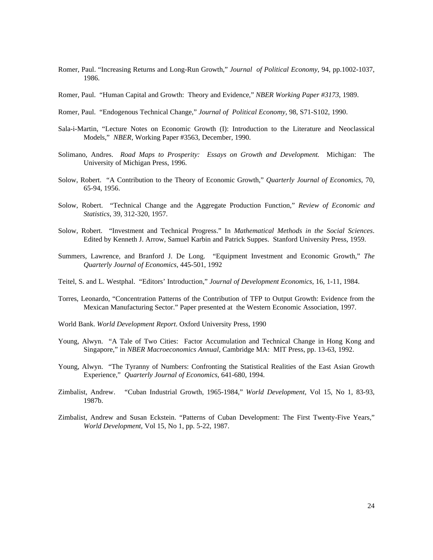- Romer, Paul. "Increasing Returns and Long-Run Growth," *Journal of Political Economy*, 94, pp.1002-1037, 1986.
- Romer, Paul. "Human Capital and Growth: Theory and Evidence," *NBER Working Paper #3173*, 1989.
- Romer, Paul. "Endogenous Technical Change," *Journal of Political Economy,* 98, S71-S102, 1990.
- Sala-i-Martin, "Lecture Notes on Economic Growth (I): Introduction to the Literature and Neoclassical Models," *NBER*, Working Paper #3563, December, 1990.
- Solimano, Andres. *Road Maps to Prosperity: Essays on Growth and Development.* Michigan: The University of Michigan Press, 1996.
- Solow, Robert. "A Contribution to the Theory of Economic Growth," *Quarterly Journal of Economics*, 70, 65-94, 1956.
- Solow, Robert. "Technical Change and the Aggregate Production Function," *Review of Economic and Statistics*, 39, 312-320, 1957.
- Solow, Robert. "Investment and Technical Progress." In *Mathematical Methods in the Social Sciences*. Edited by Kenneth J. Arrow, Samuel Karbin and Patrick Suppes. Stanford University Press, 1959.
- Summers, Lawrence, and Branford J. De Long. "Equipment Investment and Economic Growth," *The Quarterly Journal of Economics*, 445-501, 1992
- Teitel, S. and L. Westphal. "Editors' Introduction," *Journal of Development Economics*, 16, 1-11, 1984.
- Torres, Leonardo, "Concentration Patterns of the Contribution of TFP to Output Growth: Evidence from the Mexican Manufacturing Sector." Paper presented at the Western Economic Association, 1997.
- World Bank. *World Development Report*. Oxford University Press, 1990
- Young, Alwyn. "A Tale of Two Cities: Factor Accumulation and Technical Change in Hong Kong and Singapore," in *NBER Macroeconomics Annual*, Cambridge MA: MIT Press, pp. 13-63, 1992.
- Young, Alwyn. "The Tyranny of Numbers: Confronting the Statistical Realities of the East Asian Growth Experience," *Quarterly Journal of Economics*, 641-680, 1994.
- Zimbalist, Andrew. "Cuban Industrial Growth, 1965-1984," *World Development*, Vol 15, No 1, 83-93, 1987b.
- Zimbalist, Andrew and Susan Eckstein. "Patterns of Cuban Development: The First Twenty-Five Years," *World Development*, Vol 15, No 1, pp. 5-22, 1987.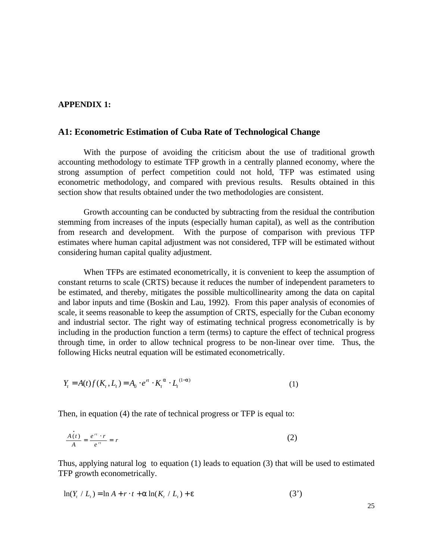### **APPENDIX 1:**

# **A1: Econometric Estimation of Cuba Rate of Technological Change**

With the purpose of avoiding the criticism about the use of traditional growth accounting methodology to estimate TFP growth in a centrally planned economy, where the strong assumption of perfect competition could not hold, TFP was estimated using econometric methodology, and compared with previous results. Results obtained in this section show that results obtained under the two methodologies are consistent.

Growth accounting can be conducted by subtracting from the residual the contribution stemming from increases of the inputs (especially human capital), as well as the contribution from research and development. With the purpose of comparison with previous TFP estimates where human capital adjustment was not considered, TFP will be estimated without considering human capital quality adjustment.

When TFPs are estimated econometrically, it is convenient to keep the assumption of constant returns to scale (CRTS) because it reduces the number of independent parameters to be estimated, and thereby, mitigates the possible multicollinearity among the data on capital and labor inputs and time (Boskin and Lau, 1992). From this paper analysis of economies of scale, it seems reasonable to keep the assumption of CRTS, especially for the Cuban economy and industrial sector. The right way of estimating technical progress econometrically is by including in the production function a term (terms) to capture the effect of technical progress through time, in order to allow technical progress to be non-linear over time. Thus, the following Hicks neutral equation will be estimated econometrically.

$$
Y_t = A(t)f(K_t, L_t) = A_0 \cdot e^{\pi} \cdot K_t^{a} \cdot L_t^{(1-a)}
$$
\n(1)

Then, in equation (4) the rate of technical progress or TFP is equal to:

$$
\frac{\dot{A(t)}}{A} = \frac{e^{rt} \cdot r}{e^{rt}} = r \tag{2}
$$

Thus, applying natural log to equation (1) leads to equation (3) that will be used to estimated TFP growth econometrically.

$$
\ln(Y_t / L_t) = \ln A + r \cdot t + a \ln(K_t / L_t) + e \tag{3'}
$$